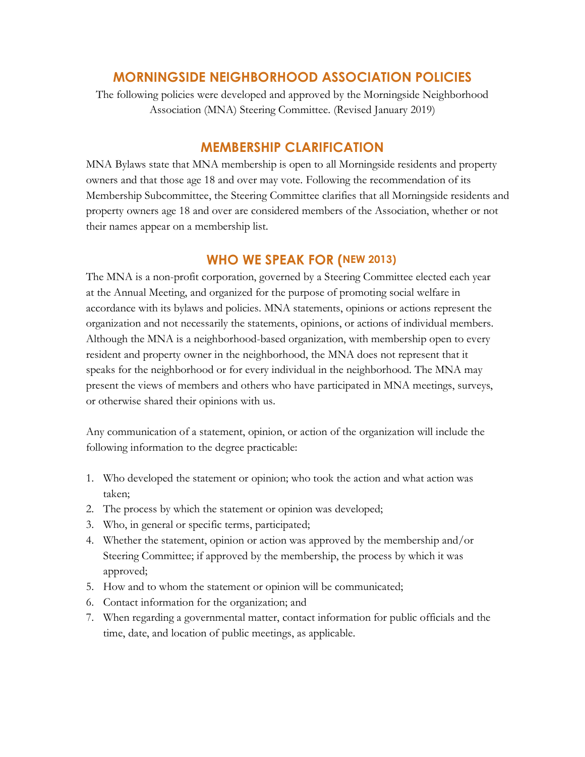## **MORNINGSIDE NEIGHBORHOOD ASSOCIATION POLICIES**

The following policies were developed and approved by the Morningside Neighborhood Association (MNA) Steering Committee. (Revised January 2019)

## **MEMBERSHIP CLARIFICATION**

MNA Bylaws state that MNA membership is open to all Morningside residents and property owners and that those age 18 and over may vote. Following the recommendation of its Membership Subcommittee, the Steering Committee clarifies that all Morningside residents and property owners age 18 and over are considered members of the Association, whether or not their names appear on a membership list.

## **WHO WE SPEAK FOR (NEW 2013)**

The MNA is a non-profit corporation, governed by a Steering Committee elected each year at the Annual Meeting, and organized for the purpose of promoting social welfare in accordance with its bylaws and policies. MNA statements, opinions or actions represent the organization and not necessarily the statements, opinions, or actions of individual members. Although the MNA is a neighborhood-based organization, with membership open to every resident and property owner in the neighborhood, the MNA does not represent that it speaks for the neighborhood or for every individual in the neighborhood. The MNA may present the views of members and others who have participated in MNA meetings, surveys, or otherwise shared their opinions with us.

Any communication of a statement, opinion, or action of the organization will include the following information to the degree practicable:

- 1. Who developed the statement or opinion; who took the action and what action was taken;
- 2. The process by which the statement or opinion was developed;
- 3. Who, in general or specific terms, participated;
- 4. Whether the statement, opinion or action was approved by the membership and/or Steering Committee; if approved by the membership, the process by which it was approved;
- 5. How and to whom the statement or opinion will be communicated;
- 6. Contact information for the organization; and
- 7. When regarding a governmental matter, contact information for public officials and the time, date, and location of public meetings, as applicable.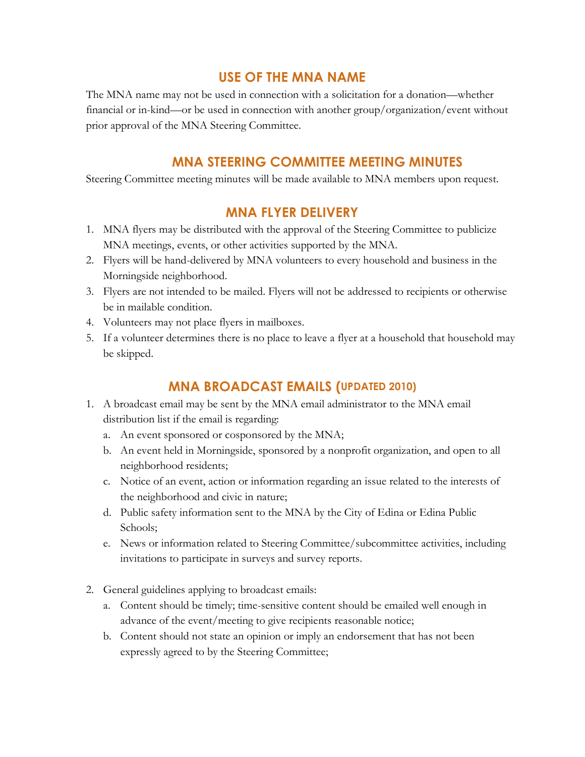## **USE OF THE MNA NAME**

The MNA name may not be used in connection with a solicitation for a donation—whether financial or in-kind—or be used in connection with another group/organization/event without prior approval of the MNA Steering Committee.

## **MNA STEERING COMMITTEE MEETING MINUTES**

Steering Committee meeting minutes will be made available to MNA members upon request.

## **MNA FLYER DELIVERY**

- 1. MNA flyers may be distributed with the approval of the Steering Committee to publicize MNA meetings, events, or other activities supported by the MNA.
- 2. Flyers will be hand-delivered by MNA volunteers to every household and business in the Morningside neighborhood.
- 3. Flyers are not intended to be mailed. Flyers will not be addressed to recipients or otherwise be in mailable condition.
- 4. Volunteers may not place flyers in mailboxes.
- 5. If a volunteer determines there is no place to leave a flyer at a household that household may be skipped.

## **MNA BROADCAST EMAILS (UPDATED 2010)**

- 1. A broadcast email may be sent by the MNA email administrator to the MNA email distribution list if the email is regarding:
	- a. An event sponsored or cosponsored by the MNA;
	- b. An event held in Morningside, sponsored by a nonprofit organization, and open to all neighborhood residents;
	- c. Notice of an event, action or information regarding an issue related to the interests of the neighborhood and civic in nature;
	- d. Public safety information sent to the MNA by the City of Edina or Edina Public Schools;
	- e. News or information related to Steering Committee/subcommittee activities, including invitations to participate in surveys and survey reports.
- 2. General guidelines applying to broadcast emails:
	- a. Content should be timely; time-sensitive content should be emailed well enough in advance of the event/meeting to give recipients reasonable notice;
	- b. Content should not state an opinion or imply an endorsement that has not been expressly agreed to by the Steering Committee;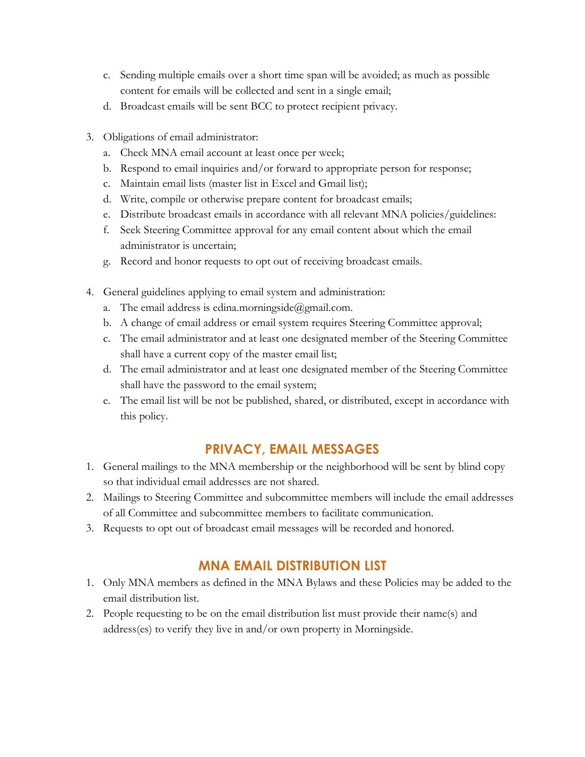- c. Sending multiple emails over a short time span will be avoided; as much as possible content for emails will be collected and sent in a single email;
- d. Broadcast emails will be sent BCC to protect recipient privacy.
- 3. Obligations of email administrator:
	- a. Check MNA email account at least once per week;
	- b. Respond to email inquiries and/or forward to appropriate person for response;
	- c. Maintain email lists (master list in Excel and Gmail list);
	- d. Write, compile or otherwise prepare content for broadcast emails;
	- e. Distribute broadcast emails in accordance with all relevant MNA policies/guidelines:
	- f. Seek Steering Committee approval for any email content about which the email administrator is uncertain;
	- g. Record and honor requests to opt out of receiving broadcast emails.
- 4. General guidelines applying to email system and administration:
	- a. The email address is edina.morningside@gmail.com.
	- b. A change of email address or email system requires Steering Committee approval;
	- c. The email administrator and at least one designated member of the Steering Committee shall have a current copy of the master email list;
	- d. The email administrator and at least one designated member of the Steering Committee shall have the password to the email system;
	- e. The email list will be not be published, shared, or distributed, except in accordance with this policy.

# **PRIVACY, EMAIL MESSAGES**

- 1. General mailings to the MNA membership or the neighborhood will be sent by blind copy so that individual email addresses are not shared.
- 2. Mailings to Steering Committee and subcommittee members will include the email addresses of all Committee and subcommittee members to facilitate communication.
- 3. Requests to opt out of broadcast email messages will be recorded and honored.

# **MNA EMAIL DISTRIBUTION LIST**

- 1. Only MNA members as defined in the MNA Bylaws and these Policies may be added to the email distribution list.
- 2. People requesting to be on the email distribution list must provide their name(s) and address(es) to verify they live in and/or own property in Morningside.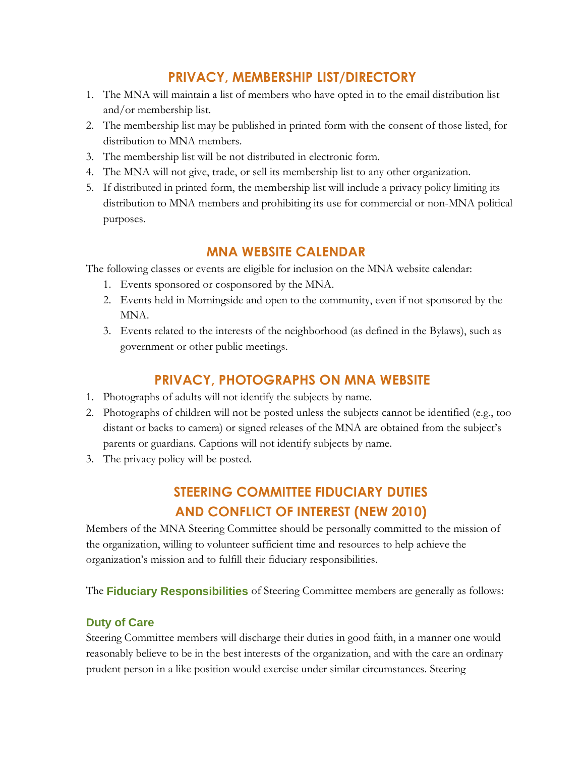# **PRIVACY, MEMBERSHIP LIST/DIRECTORY**

- 1. The MNA will maintain a list of members who have opted in to the email distribution list and/or membership list.
- 2. The membership list may be published in printed form with the consent of those listed, for distribution to MNA members.
- 3. The membership list will be not distributed in electronic form.
- 4. The MNA will not give, trade, or sell its membership list to any other organization.
- 5. If distributed in printed form, the membership list will include a privacy policy limiting its distribution to MNA members and prohibiting its use for commercial or non-MNA political purposes.

# **MNA WEBSITE CALENDAR**

The following classes or events are eligible for inclusion on the MNA website calendar:

- 1. Events sponsored or cosponsored by the MNA.
- 2. Events held in Morningside and open to the community, even if not sponsored by the MNA.
- 3. Events related to the interests of the neighborhood (as defined in the Bylaws), such as government or other public meetings.

# **PRIVACY, PHOTOGRAPHS ON MNA WEBSITE**

- 1. Photographs of adults will not identify the subjects by name.
- 2. Photographs of children will not be posted unless the subjects cannot be identified (e.g., too distant or backs to camera) or signed releases of the MNA are obtained from the subject's parents or guardians. Captions will not identify subjects by name.
- 3. The privacy policy will be posted.

# **STEERING COMMITTEE FIDUCIARY DUTIES AND CONFLICT OF INTEREST (NEW 2010)**

Members of the MNA Steering Committee should be personally committed to the mission of the organization, willing to volunteer sufficient time and resources to help achieve the organization's mission and to fulfill their fiduciary responsibilities.

The **Fiduciary Responsibilities** of Steering Committee members are generally as follows:

### **Duty of Care**

Steering Committee members will discharge their duties in good faith, in a manner one would reasonably believe to be in the best interests of the organization, and with the care an ordinary prudent person in a like position would exercise under similar circumstances. Steering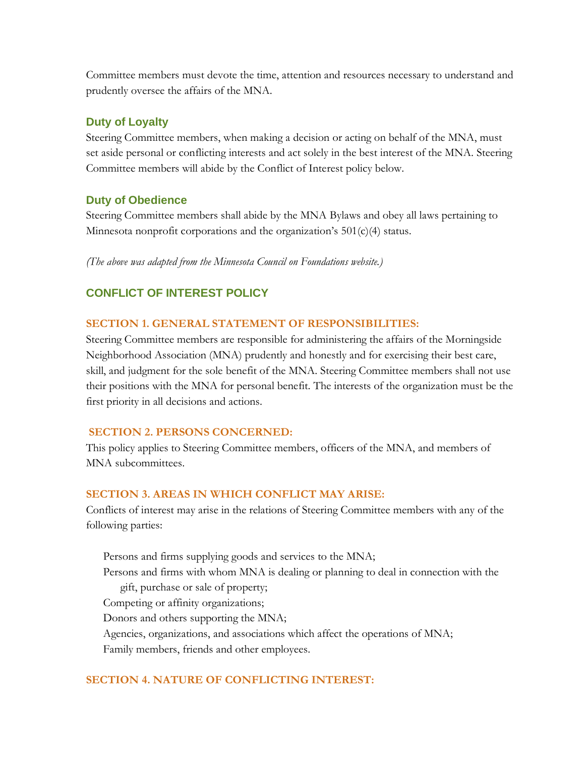Committee members must devote the time, attention and resources necessary to understand and prudently oversee the affairs of the MNA.

### **Duty of Loyalty**

Steering Committee members, when making a decision or acting on behalf of the MNA, must set aside personal or conflicting interests and act solely in the best interest of the MNA. Steering Committee members will abide by the Conflict of Interest policy below.

### **Duty of Obedience**

Steering Committee members shall abide by the MNA Bylaws and obey all laws pertaining to Minnesota nonprofit corporations and the organization's 501(c)(4) status.

*(The above was adapted from the Minnesota Council on Foundations website.)*

## **CONFLICT OF INTEREST POLICY**

### **SECTION 1. GENERAL STATEMENT OF RESPONSIBILITIES:**

Steering Committee members are responsible for administering the affairs of the Morningside Neighborhood Association (MNA) prudently and honestly and for exercising their best care, skill, and judgment for the sole benefit of the MNA. Steering Committee members shall not use their positions with the MNA for personal benefit. The interests of the organization must be the first priority in all decisions and actions.

### **SECTION 2. PERSONS CONCERNED:**

This policy applies to Steering Committee members, officers of the MNA, and members of MNA subcommittees.

### **SECTION 3. AREAS IN WHICH CONFLICT MAY ARISE:**

Conflicts of interest may arise in the relations of Steering Committee members with any of the following parties:

Persons and firms supplying goods and services to the MNA; Persons and firms with whom MNA is dealing or planning to deal in connection with the gift, purchase or sale of property; Competing or affinity organizations; Donors and others supporting the MNA; Agencies, organizations, and associations which affect the operations of MNA; Family members, friends and other employees.

### **SECTION 4. NATURE OF CONFLICTING INTEREST:**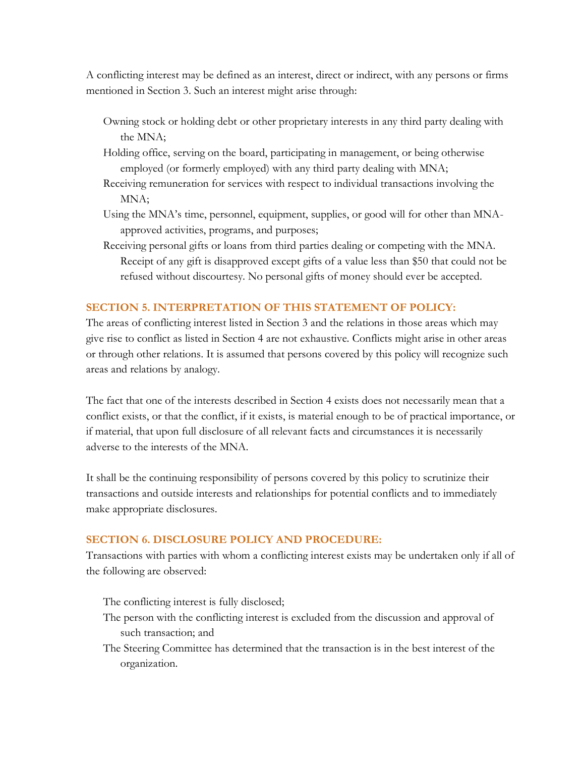A conflicting interest may be defined as an interest, direct or indirect, with any persons or firms mentioned in Section 3. Such an interest might arise through:

- Owning stock or holding debt or other proprietary interests in any third party dealing with the MNA;
- Holding office, serving on the board, participating in management, or being otherwise employed (or formerly employed) with any third party dealing with MNA;
- Receiving remuneration for services with respect to individual transactions involving the MNA;
- Using the MNA's time, personnel, equipment, supplies, or good will for other than MNAapproved activities, programs, and purposes;
- Receiving personal gifts or loans from third parties dealing or competing with the MNA. Receipt of any gift is disapproved except gifts of a value less than \$50 that could not be refused without discourtesy. No personal gifts of money should ever be accepted.

### **SECTION 5. INTERPRETATION OF THIS STATEMENT OF POLICY:**

The areas of conflicting interest listed in Section 3 and the relations in those areas which may give rise to conflict as listed in Section 4 are not exhaustive. Conflicts might arise in other areas or through other relations. It is assumed that persons covered by this policy will recognize such areas and relations by analogy.

The fact that one of the interests described in Section 4 exists does not necessarily mean that a conflict exists, or that the conflict, if it exists, is material enough to be of practical importance, or if material, that upon full disclosure of all relevant facts and circumstances it is necessarily adverse to the interests of the MNA.

It shall be the continuing responsibility of persons covered by this policy to scrutinize their transactions and outside interests and relationships for potential conflicts and to immediately make appropriate disclosures.

#### **SECTION 6. DISCLOSURE POLICY AND PROCEDURE:**

Transactions with parties with whom a conflicting interest exists may be undertaken only if all of the following are observed:

The conflicting interest is fully disclosed;

- The person with the conflicting interest is excluded from the discussion and approval of such transaction; and
- The Steering Committee has determined that the transaction is in the best interest of the organization.